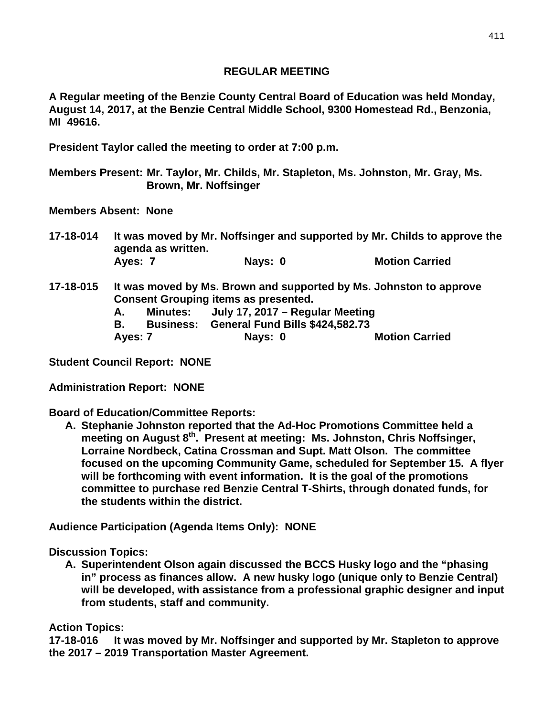## **REGULAR MEETING**

**A Regular meeting of the Benzie County Central Board of Education was held Monday, August 14, 2017, at the Benzie Central Middle School, 9300 Homestead Rd., Benzonia, MI 49616.** 

**President Taylor called the meeting to order at 7:00 p.m.** 

**Members Present: Mr. Taylor, Mr. Childs, Mr. Stapleton, Ms. Johnston, Mr. Gray, Ms. Brown, Mr. Noffsinger** 

**Members Absent: None** 

**17-18-014 It was moved by Mr. Noffsinger and supported by Mr. Childs to approve the agenda as written.**  Ayes: 7 **Nays: 0** Motion Carried

- **17-18-015 It was moved by Ms. Brown and supported by Ms. Johnston to approve Consent Grouping items as presented.** 
	- **A. Minutes: July 17, 2017 Regular Meeting**
	- **B. Business: General Fund Bills \$424,582.73**

Ayes: 7 **Nays: 0** Motion Carried

**Student Council Report: NONE** 

**Administration Report: NONE** 

**Board of Education/Committee Reports:** 

**A. Stephanie Johnston reported that the Ad-Hoc Promotions Committee held a meeting on August 8th. Present at meeting: Ms. Johnston, Chris Noffsinger, Lorraine Nordbeck, Catina Crossman and Supt. Matt Olson. The committee focused on the upcoming Community Game, scheduled for September 15. A flyer will be forthcoming with event information. It is the goal of the promotions committee to purchase red Benzie Central T-Shirts, through donated funds, for the students within the district.** 

**Audience Participation (Agenda Items Only): NONE** 

**Discussion Topics:** 

**A. Superintendent Olson again discussed the BCCS Husky logo and the "phasing in" process as finances allow. A new husky logo (unique only to Benzie Central) will be developed, with assistance from a professional graphic designer and input from students, staff and community.** 

**Action Topics:** 

**17-18-016 It was moved by Mr. Noffsinger and supported by Mr. Stapleton to approve the 2017 – 2019 Transportation Master Agreement.**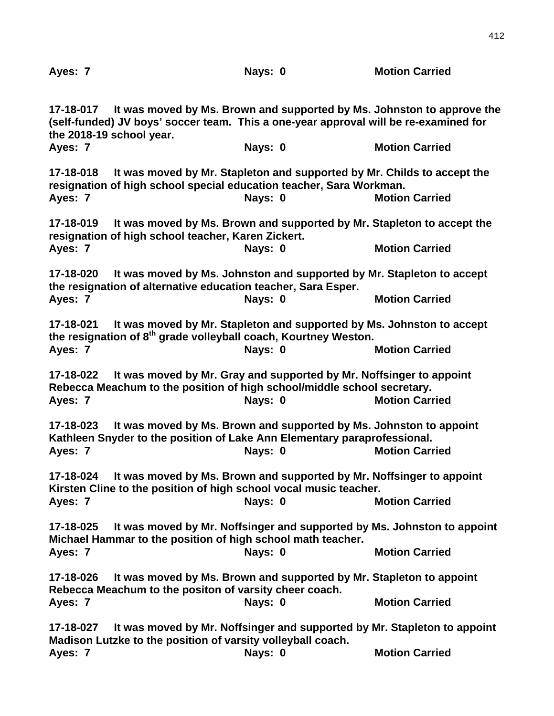| Ayes: 7                                                                                                                                                           |                                                                                                                                                | Nays: 0 | <b>Motion Carried</b>                                                                           |
|-------------------------------------------------------------------------------------------------------------------------------------------------------------------|------------------------------------------------------------------------------------------------------------------------------------------------|---------|-------------------------------------------------------------------------------------------------|
| 17-18-017<br>Ayes: 7                                                                                                                                              | (self-funded) JV boys' soccer team. This a one-year approval will be re-examined for<br>the 2018-19 school year.                               | Nays: 0 | It was moved by Ms. Brown and supported by Ms. Johnston to approve the<br><b>Motion Carried</b> |
|                                                                                                                                                                   |                                                                                                                                                |         |                                                                                                 |
| It was moved by Mr. Stapleton and supported by Mr. Childs to accept the<br>17-18-018<br>resignation of high school special education teacher, Sara Workman.       |                                                                                                                                                |         |                                                                                                 |
| Ayes: 7                                                                                                                                                           |                                                                                                                                                | Nays: 0 | <b>Motion Carried</b>                                                                           |
| It was moved by Ms. Brown and supported by Mr. Stapleton to accept the<br>17-18-019<br>resignation of high school teacher, Karen Zickert.                         |                                                                                                                                                |         |                                                                                                 |
| Ayes: 7                                                                                                                                                           |                                                                                                                                                | Nays: 0 | <b>Motion Carried</b>                                                                           |
| It was moved by Ms. Johnston and supported by Mr. Stapleton to accept<br>17-18-020<br>the resignation of alternative education teacher, Sara Esper.               |                                                                                                                                                |         |                                                                                                 |
| Ayes: 7                                                                                                                                                           |                                                                                                                                                | Nays: 0 | <b>Motion Carried</b>                                                                           |
| It was moved by Mr. Stapleton and supported by Ms. Johnston to accept<br>17-18-021<br>the resignation of 8 <sup>th</sup> grade volleyball coach, Kourtney Weston. |                                                                                                                                                |         |                                                                                                 |
| Ayes: 7                                                                                                                                                           |                                                                                                                                                | Nays: 0 | <b>Motion Carried</b>                                                                           |
| 17-18-022<br>Ayes: 7                                                                                                                                              | It was moved by Mr. Gray and supported by Mr. Noffsinger to appoint<br>Rebecca Meachum to the position of high school/middle school secretary. | Nays: 0 | <b>Motion Carried</b>                                                                           |
| 17-18-023<br>Ayes: 7                                                                                                                                              | It was moved by Ms. Brown and supported by Ms. Johnston to appoint<br>Kathleen Snyder to the position of Lake Ann Elementary paraprofessional. | Nays: 0 | <b>Motion Carried</b>                                                                           |
| It was moved by Ms. Brown and supported by Mr. Noffsinger to appoint<br>17-18-024<br>Kirsten Cline to the position of high school vocal music teacher.            |                                                                                                                                                |         |                                                                                                 |
| Ayes: 7                                                                                                                                                           |                                                                                                                                                | Nays: 0 | <b>Motion Carried</b>                                                                           |
| It was moved by Mr. Noffsinger and supported by Ms. Johnston to appoint<br>17-18-025<br>Michael Hammar to the position of high school math teacher.               |                                                                                                                                                |         |                                                                                                 |
| Ayes: 7                                                                                                                                                           |                                                                                                                                                | Nays: 0 | <b>Motion Carried</b>                                                                           |
| 17-18-026                                                                                                                                                         | It was moved by Ms. Brown and supported by Mr. Stapleton to appoint<br>Rebecca Meachum to the positon of varsity cheer coach.                  |         |                                                                                                 |
| Ayes: 7                                                                                                                                                           |                                                                                                                                                | Nays: 0 | <b>Motion Carried</b>                                                                           |
| It was moved by Mr. Noffsinger and supported by Mr. Stapleton to appoint<br>17-18-027<br>Madison Lutzke to the position of varsity volleyball coach.              |                                                                                                                                                |         |                                                                                                 |
| Ayes: 7                                                                                                                                                           |                                                                                                                                                | Nays: 0 | <b>Motion Carried</b>                                                                           |

412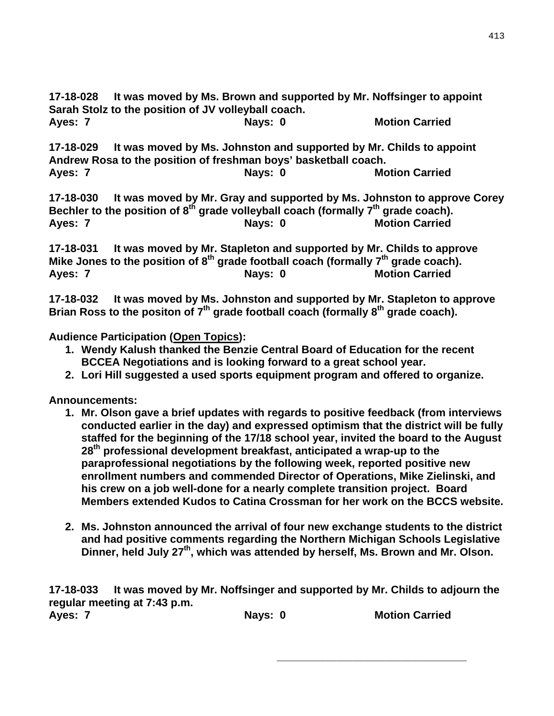**17-18-028 It was moved by Ms. Brown and supported by Mr. Noffsinger to appoint Sarah Stolz to the position of JV volleyball coach. Ayes: 7 Nays: 0 Motion Carried Carried Carried Carried Carried Motion Carried Carried Carried Carried Carried Carried Carried Carried Carried Carried Carried Carried Carried Carried Carried Carried Carried Carried Carried** 

**17-18-029 It was moved by Ms. Johnston and supported by Mr. Childs to appoint Andrew Rosa to the position of freshman boys' basketball coach.**  Ayes: 7 Nays: 0 Nays: 0 Nays: 0 Nays: 0 Nays: 0 Nays: 0 Nays: 0 Nays: 0 Nays: 0 Nays: 0 Nays: 0 Nays: 0 Nays: 0 Nays: 0 Nays: 0 Nays: 0 Nays: 0 Nays: 0 Nays: 0 Nays: 0 Nays: 0 Nays: 0 Nays: 0 Nays: 0 Nays: 0 Nays: 0 Nays:

**17-18-030 It was moved by Mr. Gray and supported by Ms. Johnston to approve Corey**  Bechler to the position of 8<sup>th</sup> grade volleyball coach (formally 7<sup>th</sup> grade coach). Ayes: 7 Nays: 0 Nays: 0 Motion Carried

**17-18-031 It was moved by Mr. Stapleton and supported by Mr. Childs to approve**  Mike Jones to the position of 8<sup>th</sup> grade football coach (formally 7<sup>th</sup> grade coach). Ayes: 7 Nays: 0 Nays: 0 Nays: 0 Nays: 0 Nays: 0 Nays: 0 Nays: 0 Nays: 0 Nays: 0 Nays: 0 Nays: 0 Nays: 0 Nays: 0 Nays: 0 Nays: 0 Nays: 0 Nays: 0 Nays: 0 Nays: 0 Nays: 0 Nays: 0 Nays: 0 Nays: 0 Nays: 0 Nays: 0 Nays: 0 Nays:

**17-18-032 It was moved by Ms. Johnston and supported by Mr. Stapleton to approve**  Brian Ross to the positon of 7<sup>th</sup> grade football coach (formally 8<sup>th</sup> grade coach).

**Audience Participation (Open Topics):** 

- **1. Wendy Kalush thanked the Benzie Central Board of Education for the recent BCCEA Negotiations and is looking forward to a great school year.**
- **2. Lori Hill suggested a used sports equipment program and offered to organize.**

**Announcements:** 

- **1. Mr. Olson gave a brief updates with regards to positive feedback (from interviews conducted earlier in the day) and expressed optimism that the district will be fully staffed for the beginning of the 17/18 school year, invited the board to the August 28th professional development breakfast, anticipated a wrap-up to the paraprofessional negotiations by the following week, reported positive new enrollment numbers and commended Director of Operations, Mike Zielinski, and his crew on a job well-done for a nearly complete transition project. Board Members extended Kudos to Catina Crossman for her work on the BCCS website.**
- **2. Ms. Johnston announced the arrival of four new exchange students to the district and had positive comments regarding the Northern Michigan Schools Legislative**  Dinner, held July 27<sup>th</sup>, which was attended by herself, Ms. Brown and Mr. Olson.

**17-18-033 It was moved by Mr. Noffsinger and supported by Mr. Childs to adjourn the regular meeting at 7:43 p.m.**  Ayes: 7 **Nays: 0** Mays: 0 **Motion Carried** 

 $\overline{\phantom{a}}$  , and the contract of the contract of the contract of the contract of the contract of the contract of the contract of the contract of the contract of the contract of the contract of the contract of the contrac